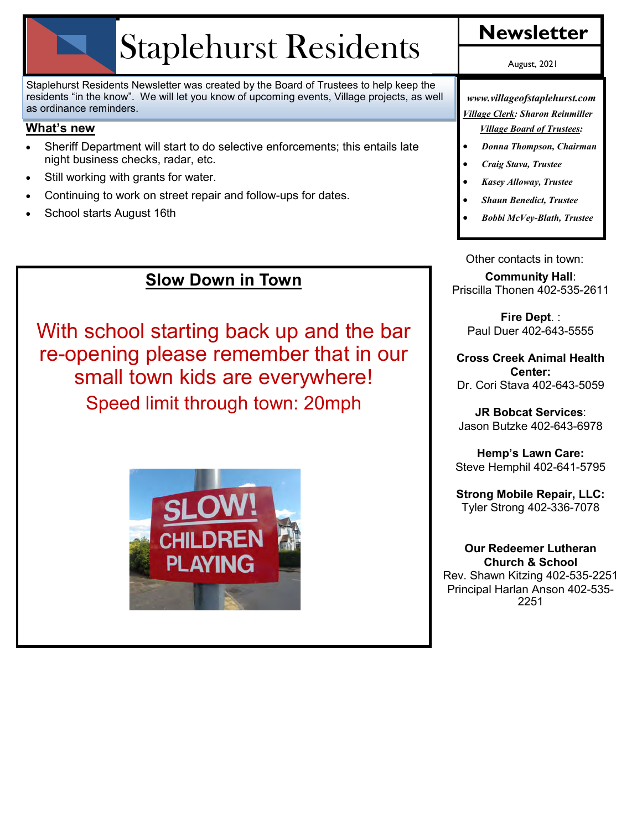# Staplehurst Residents **Newsletter**

Staplehurst Residents Newsletter was created by the Board of Trustees to help keep the residents "in the know". We will let you know of upcoming events, Village projects, as well as ordinance reminders.

#### **What's new**

- Sheriff Department will start to do selective enforcements; this entails late night business checks, radar, etc.
- Still working with grants for water.
- Continuing to work on street repair and follow-ups for dates.
- School starts August 16th

## **Slow Down in Town**

With school starting back up and the bar re-opening please remember that in our small town kids are everywhere! Speed limit through town: 20mph



August, 2021

*www.villageofstaplehurst.com Village Clerk: Sharon Reinmiller Village Board of Trustees:* 

- *Donna Thompson, Chairman*
- *Craig Stava, Trustee*
- *Kasey Alloway, Trustee*
- *Shaun Benedict, Trustee*
- *Bobbi McVey-Blath, Trustee*

Other contacts in town: **Community Hall**: Priscilla Thonen 402-535-2611

**Fire Dept**. : Paul Duer 402-643-5555

**Cross Creek Animal Health Center:**  Dr. Cori Stava 402-643-5059

**JR Bobcat Services**: Jason Butzke 402-643-6978

**Hemp's Lawn Care:** Steve Hemphil 402-641-5795

**Strong Mobile Repair, LLC:** Tyler Strong 402-336-7078

#### **Our Redeemer Lutheran Church & School**

Rev. Shawn Kitzing 402-535-2251 Principal Harlan Anson 402-535- 2251